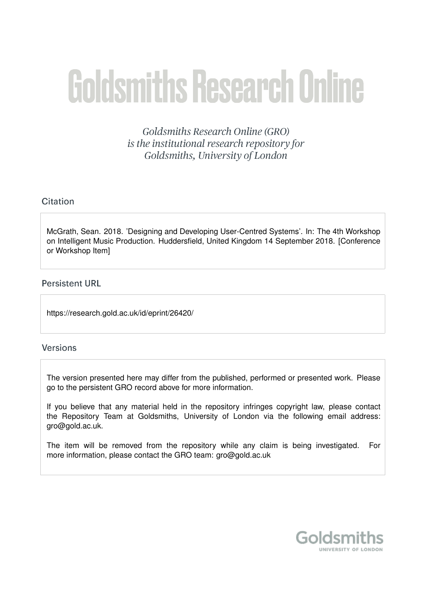# **Goldsmiths Research Online**

Goldsmiths Research Online (GRO) is the institutional research repository for Goldsmiths, University of London

# Citation

McGrath, Sean. 2018. 'Designing and Developing User-Centred Systems'. In: The 4th Workshop on Intelligent Music Production. Huddersfield, United Kingdom 14 September 2018. [Conference or Workshop Item]

# **Persistent URL**

https://research.gold.ac.uk/id/eprint/26420/

# **Versions**

The version presented here may differ from the published, performed or presented work. Please go to the persistent GRO record above for more information.

If you believe that any material held in the repository infringes copyright law, please contact the Repository Team at Goldsmiths, University of London via the following email address: gro@gold.ac.uk.

The item will be removed from the repository while any claim is being investigated. For more information, please contact the GRO team: gro@gold.ac.uk

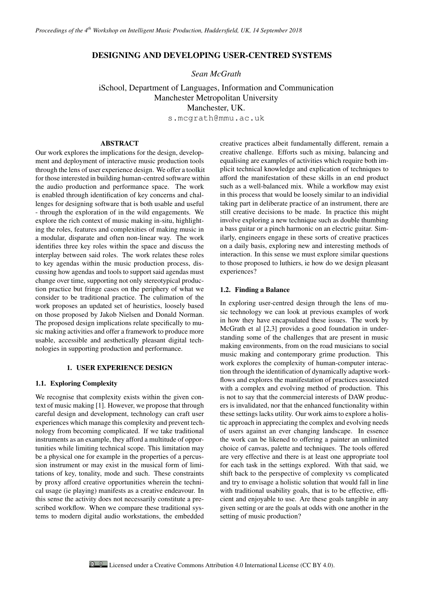# DESIGNING AND DEVELOPING USER-CENTRED SYSTEMS

*Sean McGrath*

iSchool, Department of Languages, Information and Communication Manchester Metropolitan University Manchester, UK.

s.mcgrath@mmu.ac.uk

# ABSTRACT

Our work explores the implications for the design, development and deployment of interactive music production tools through the lens of user experience design. We offer a toolkit for those interested in building human-centred software within the audio production and performance space. The work is enabled through identification of key concerns and challenges for designing software that is both usable and useful - through the exploration of in the wild engagements. We explore the rich context of music making in-situ, highlighting the roles, features and complexities of making music in a modular, disparate and often non-linear way. The work identifies three key roles within the space and discuss the interplay between said roles. The work relates these roles to key agendas within the music production process, discussing how agendas and tools to support said agendas must change over time, supporting not only stereotypical production practice but fringe cases on the periphery of what we consider to be traditional practice. The culimation of the work proposes an updated set of heuristics, loosely based on those proposed by Jakob Nielsen and Donald Norman. The proposed design implications relate specifically to music making activities and offer a framework to produce more usable, accessible and aesthetically pleasant digital technologies in supporting production and performance.

#### 1. USER EXPERIENCE DESIGN

#### 1.1. Exploring Complexity

We recognise that complexity exists within the given context of music making [1]. However, we propose that through careful design and development, technology can craft user experiences which manage this complexity and prevent technology from becoming complicated. If we take traditional instruments as an example, they afford a multitude of opportunities while limiting technical scope. This limitation may be a physical one for example in the properties of a percussion instrument or may exist in the musical form of limitations of key, tonality, mode and such. These constraints by proxy afford creative opportunities wherein the technical usage (ie playing) manifests as a creative endeavour. In this sense the activity does not necessarily constitute a prescribed workflow. When we compare these traditional systems to modern digital audio workstations, the embedded

creative practices albeit fundamentally different, remain a creative challenge. Efforts such as mixing, balancing and equalising are examples of activities which require both implicit technical knowledge and explication of techniques to afford the manifestation of these skills in an end product such as a well-balanced mix. While a workflow may exist in this process that would be loosely similar to an individial taking part in deliberate practice of an instrument, there are still creative decisions to be made. In practice this might involve exploring a new technique such as double thumbing a bass guitar or a pinch harmonic on an electric guitar. Similarly, engineers engage in these sorts of creative practices on a daily basis, exploring new and interesting methods of interaction. In this sense we must explore similar questions to those proposed to luthiers, ie how do we design pleasant experiences?

#### 1.2. Finding a Balance

In exploring user-centred design through the lens of music technology we can look at previous examples of work in how they have encapsulated these issues. The work by McGrath et al [2,3] provides a good foundation in understanding some of the challenges that are present in music making environments, from on the road musicians to social music making and contemporary grime production. This work explores the complexity of human-computer interaction through the identification of dynamically adaptive workflows and explores the manifestation of practices associated with a complex and evolving method of production. This is not to say that the commercial interests of DAW producers is invalidated, nor that the enhanced functionality within these settings lacks utility. Our work aims to explore a holistic approach in appreciating the complex and evolving needs of users against an ever changing landscape. In essence the work can be likened to offering a painter an unlimited choice of canvas, palette and techniques. The tools offered are very effective and there is at least one appropriate tool for each task in the settings explored. With that said, we shift back to the perspective of complexity vs complicated and try to envisage a holistic solution that would fall in line with traditional usability goals, that is to be effective, efficient and enjoyable to use. Are these goals tangible in any given setting or are the goals at odds with one another in the setting of music production?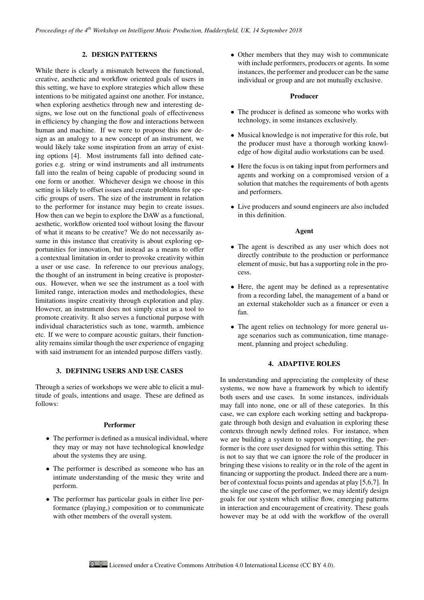## 2. DESIGN PATTERNS

While there is clearly a mismatch between the functional, creative, aesthetic and workflow oriented goals of users in this setting, we have to explore strategies which allow these intentions to be mitigated against one another. For instance, when exploring aesthetics through new and interesting designs, we lose out on the functional goals of effectiveness in efficiency by changing the flow and interactions between human and machine. If we were to propose this new design as an analogy to a new concept of an instrument, we would likely take some inspiration from an array of existing options [4]. Most instruments fall into defined categories e.g. string or wind instruments and all instruments fall into the realm of being capable of producing sound in one form or another. Whichever design we choose in this setting is likely to offset issues and create problems for specific groups of users. The size of the instrument in relation to the performer for instance may begin to create issues. How then can we begin to explore the DAW as a functional, aesthetic, workflow oriented tool without losing the flavour of what it means to be creative? We do not necessarily assume in this instance that creativity is about exploring opportunities for innovation, but instead as a means to offer a contextual limitation in order to provoke creativity within a user or use case. In reference to our previous analogy, the thought of an instrument in being creative is proposterous. However, when we see the instrument as a tool with limited range, interaction modes and methodologies, these limitations inspire creativity through exploration and play. However, an instrument does not simply exist as a tool to promote creativity. It also serves a functional purpose with individual characteristics such as tone, warmth, ambience etc. If we were to compare acoustic guitars, their functionality remains similar though the user experience of engaging with said instrument for an intended purpose differs vastly.

## 3. DEFINING USERS AND USE CASES

Through a series of workshops we were able to elicit a multitude of goals, intentions and usage. These are defined as follows:

#### Performer

- The performer is defined as a musical individual, where they may or may not have technological knowledge about the systems they are using.
- The performer is described as someone who has an intimate understanding of the music they write and perform.
- The performer has particular goals in either live performance (playing,) composition or to communicate with other members of the overall system.

• Other members that they may wish to communicate with include performers, producers or agents. In some instances, the performer and producer can be the same individual or group and are not mutually exclusive.

#### Producer

- The producer is defined as someone who works with technology, in some instances exclusively.
- Musical knowledge is not imperative for this role, but the producer must have a thorough working knowledge of how digital audio workstations can be used.
- Here the focus is on taking input from performers and agents and working on a compromised version of a solution that matches the requirements of both agents and performers.
- Live producers and sound engineers are also included in this definition.

#### Agent

- The agent is described as any user which does not directly contribute to the production or performance element of music, but has a supporting role in the process.
- Here, the agent may be defined as a representative from a recording label, the management of a band or an external stakeholder such as a financer or even a fan.
- The agent relies on technology for more general usage scenarios such as communication, time management, planning and project scheduling.

## 4. ADAPTIVE ROLES

In understanding and appreciating the complexity of these systems, we now have a framework by which to identify both users and use cases. In some instances, individuals may fall into none, one or all of these categories. In this case, we can explore each working setting and backpropagate through both design and evaluation in exploring these contexts through newly defined roles. For instance, when we are building a system to support songwriting, the performer is the core user designed for within this setting. This is not to say that we can ignore the role of the producer in bringing these visions to reality or in the role of the agent in financing or supporting the product. Indeed there are a number of contextual focus points and agendas at play [5,6,7]. In the single use case of the performer, we may identify design goals for our system which utilise flow, emerging patterns in interaction and encouragement of creativity. These goals however may be at odd with the workflow of the overall